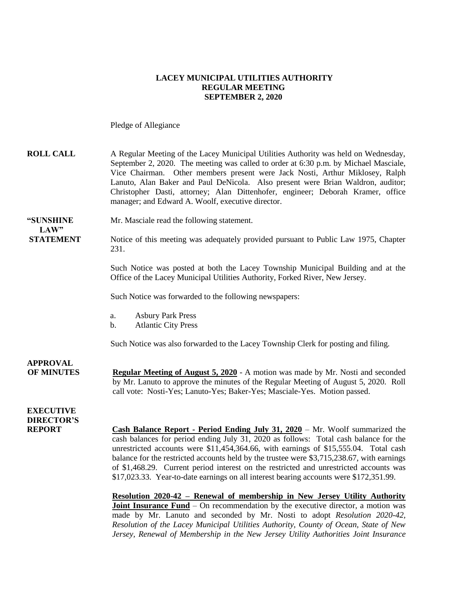### **LACEY MUNICIPAL UTILITIES AUTHORITY REGULAR MEETING SEPTEMBER 2, 2020**

Pledge of Allegiance

| <b>ROLL CALL</b>                      | A Regular Meeting of the Lacey Municipal Utilities Authority was held on Wednesday,<br>September 2, 2020. The meeting was called to order at 6:30 p.m. by Michael Masciale,<br>Vice Chairman. Other members present were Jack Nosti, Arthur Miklosey, Ralph<br>Lanuto, Alan Baker and Paul DeNicola. Also present were Brian Waldron, auditor;<br>Christopher Dasti, attorney; Alan Dittenhofer, engineer; Deborah Kramer, office<br>manager; and Edward A. Woolf, executive director.                                                                |
|---------------------------------------|-------------------------------------------------------------------------------------------------------------------------------------------------------------------------------------------------------------------------------------------------------------------------------------------------------------------------------------------------------------------------------------------------------------------------------------------------------------------------------------------------------------------------------------------------------|
| "SUNSHINE<br>LAW"                     | Mr. Masciale read the following statement.                                                                                                                                                                                                                                                                                                                                                                                                                                                                                                            |
| <b>STATEMENT</b>                      | Notice of this meeting was adequately provided pursuant to Public Law 1975, Chapter<br>231.                                                                                                                                                                                                                                                                                                                                                                                                                                                           |
|                                       | Such Notice was posted at both the Lacey Township Municipal Building and at the<br>Office of the Lacey Municipal Utilities Authority, Forked River, New Jersey.                                                                                                                                                                                                                                                                                                                                                                                       |
|                                       | Such Notice was forwarded to the following newspapers:                                                                                                                                                                                                                                                                                                                                                                                                                                                                                                |
|                                       | <b>Asbury Park Press</b><br>a.<br><b>Atlantic City Press</b><br>b.                                                                                                                                                                                                                                                                                                                                                                                                                                                                                    |
|                                       | Such Notice was also forwarded to the Lacey Township Clerk for posting and filing.                                                                                                                                                                                                                                                                                                                                                                                                                                                                    |
| <b>APPROVAL</b><br><b>OF MINUTES</b>  | Regular Meeting of August 5, 2020 - A motion was made by Mr. Nosti and seconded<br>by Mr. Lanuto to approve the minutes of the Regular Meeting of August 5, 2020. Roll<br>call vote: Nosti-Yes; Lanuto-Yes; Baker-Yes; Masciale-Yes. Motion passed.                                                                                                                                                                                                                                                                                                   |
| <b>EXECUTIVE</b><br><b>DIRECTOR'S</b> |                                                                                                                                                                                                                                                                                                                                                                                                                                                                                                                                                       |
| <b>REPORT</b>                         | <b>Cash Balance Report - Period Ending July 31, 2020</b> – Mr. Woolf summarized the<br>cash balances for period ending July 31, 2020 as follows: Total cash balance for the<br>unrestricted accounts were \$11,454,364.66, with earnings of \$15,555.04. Total cash<br>balance for the restricted accounts held by the trustee were \$3,715,238.67, with earnings<br>of \$1,468.29. Current period interest on the restricted and unrestricted accounts was<br>\$17,023.33. Year-to-date earnings on all interest bearing accounts were \$172,351.99. |
|                                       | Resolution 2020-42 - Renewal of membership in New Jersey Utility Authority<br><b>Joint Insurance Fund</b> – On recommendation by the executive director, a motion was<br>made by Mr. Lanuto and seconded by Mr. Nosti to adopt Resolution 2020-42,<br>Resolution of the Lacey Municipal Utilities Authority, County of Ocean, State of New                                                                                                                                                                                                            |

*Jersey, Renewal of Membership in the New Jersey Utility Authorities Joint Insurance*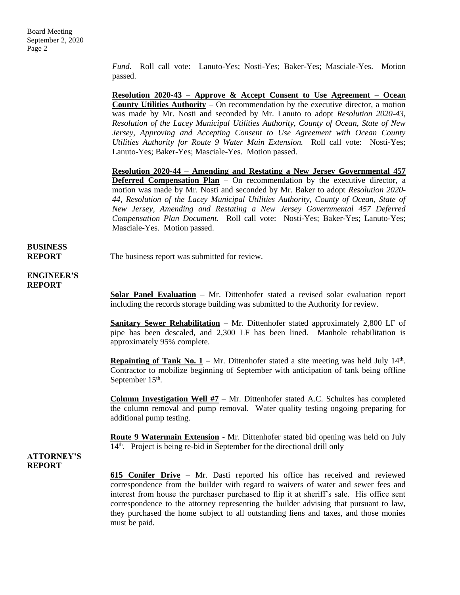*Fund.* Roll call vote: Lanuto-Yes; Nosti-Yes; Baker-Yes; Masciale-Yes. Motion passed.

**Resolution 2020-43 – Approve & Accept Consent to Use Agreement – Ocean County Utilities Authority** – On recommendation by the executive director, a motion was made by Mr. Nosti and seconded by Mr. Lanuto to adopt *Resolution 2020-43, Resolution of the Lacey Municipal Utilities Authority, County of Ocean, State of New Jersey, Approving and Accepting Consent to Use Agreement with Ocean County Utilities Authority for Route 9 Water Main Extension.* Roll call vote: Nosti-Yes; Lanuto-Yes; Baker-Yes; Masciale-Yes. Motion passed.

**Resolution 2020-44 – Amending and Restating a New Jersey Governmental 457 Deferred Compensation Plan** – On recommendation by the executive director, a motion was made by Mr. Nosti and seconded by Mr. Baker to adopt *Resolution 2020- 44, Resolution of the Lacey Municipal Utilities Authority, County of Ocean, State of New Jersey, Amending and Restating a New Jersey Governmental 457 Deferred Compensation Plan Document.* Roll call vote: Nosti-Yes; Baker-Yes; Lanuto-Yes; Masciale-Yes. Motion passed.

#### **BUSINESS REPORT** The business report was submitted for review.

**ENGINEER'S REPORT**

> **Solar Panel Evaluation** – Mr. Dittenhofer stated a revised solar evaluation report including the records storage building was submitted to the Authority for review.

> **Sanitary Sewer Rehabilitation** – Mr. Dittenhofer stated approximately 2,800 LF of pipe has been descaled, and 2,300 LF has been lined. Manhole rehabilitation is approximately 95% complete.

> **Repainting of Tank No.**  $1 - Mr$ **.** Dittenhofer stated a site meeting was held July  $14<sup>th</sup>$ . Contractor to mobilize beginning of September with anticipation of tank being offline September  $15<sup>th</sup>$ .

> **Column Investigation Well #7** – Mr. Dittenhofer stated A.C. Schultes has completed the column removal and pump removal. Water quality testing ongoing preparing for additional pump testing.

> **Route 9 Watermain Extension** - Mr. Dittenhofer stated bid opening was held on July 14<sup>th</sup>. Project is being re-bid in September for the directional drill only

### **ATTORNEY'S REPORT**

**615 Conifer Drive** – Mr. Dasti reported his office has received and reviewed correspondence from the builder with regard to waivers of water and sewer fees and interest from house the purchaser purchased to flip it at sheriff's sale. His office sent correspondence to the attorney representing the builder advising that pursuant to law, they purchased the home subject to all outstanding liens and taxes, and those monies must be paid.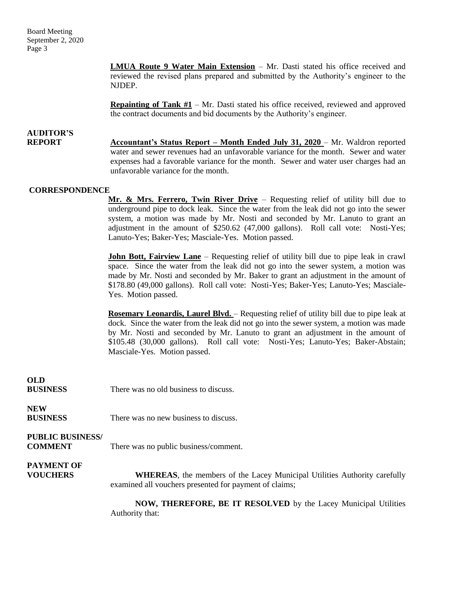Board Meeting September 2, 2020 Page 3

> **LMUA Route 9 Water Main Extension** – Mr. Dasti stated his office received and reviewed the revised plans prepared and submitted by the Authority's engineer to the NJDEP.

> **Repainting of Tank**  $#1 - Mr$ **.** Dasti stated his office received, reviewed and approved the contract documents and bid documents by the Authority's engineer.

# **AUDITOR'S**

**REPORT Accountant's Status Report – Month Ended July 31, 2020** – Mr. Waldron reported water and sewer revenues had an unfavorable variance for the month. Sewer and water expenses had a favorable variance for the month. Sewer and water user charges had an unfavorable variance for the month.

#### **CORRESPONDENCE**

**Mr. & Mrs. Ferrero, Twin River Drive** – Requesting relief of utility bill due to underground pipe to dock leak. Since the water from the leak did not go into the sewer system, a motion was made by Mr. Nosti and seconded by Mr. Lanuto to grant an adjustment in the amount of \$250.62 (47,000 gallons). Roll call vote: Nosti-Yes; Lanuto-Yes; Baker-Yes; Masciale-Yes. Motion passed.

**John Bott, Fairview Lane** – Requesting relief of utility bill due to pipe leak in crawl space. Since the water from the leak did not go into the sewer system, a motion was made by Mr. Nosti and seconded by Mr. Baker to grant an adjustment in the amount of \$178.80 (49,000 gallons). Roll call vote: Nosti-Yes; Baker-Yes; Lanuto-Yes; Masciale-Yes. Motion passed.

**Rosemary Leonardis, Laurel Blvd.** – Requesting relief of utility bill due to pipe leak at dock. Since the water from the leak did not go into the sewer system, a motion was made by Mr. Nosti and seconded by Mr. Lanuto to grant an adjustment in the amount of \$105.48 (30,000 gallons). Roll call vote: Nosti-Yes; Lanuto-Yes; Baker-Abstain; Masciale-Yes. Motion passed.

# **OLD BUSINESS** There was no old business to discuss. **NEW BUSINESS** There was no new business to discuss. **PUBLIC BUSINESS/ COMMENT** There was no public business/comment. **PAYMENT OF VOUCHERS WHEREAS**, the members of the Lacey Municipal Utilities Authority carefully examined all vouchers presented for payment of claims; **NOW, THEREFORE, BE IT RESOLVED** by the Lacey Municipal Utilities Authority that: